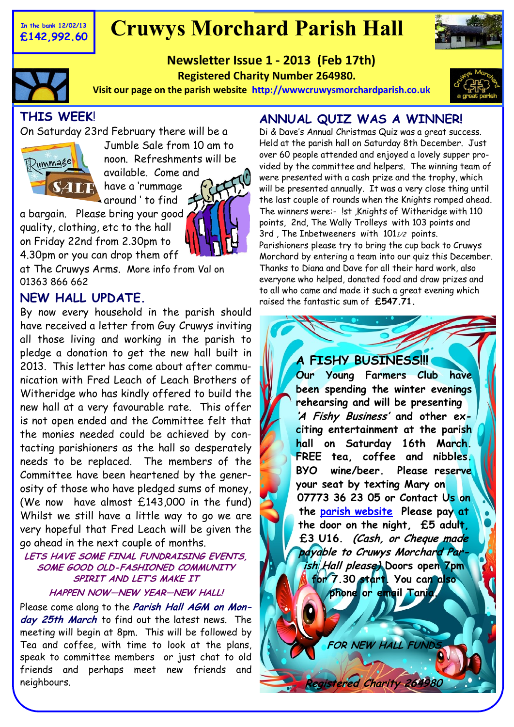#### **In the bank 12/02/13 £142,992.60**

# **Cruwys Morchard Parish Hall**

**Newsletter Issue 1 - 2013 (Feb 17th) Registered Charity Number 264980.** 



**Visit our page on the parish website [http://wwwcruwysmorchardparish.co.uk](http://www.cruwysmorchardparish.co.uk)**



# **THIS WEEK**!

On Saturday 23rd February there will be a

around ' to find



Jumble Sale from 10 am to noon. Refreshments will be available. Come and have a 'rummage

a bargain. Please bring your good quality, clothing, etc to the hall on Friday 22nd from 2.30pm to 4.30pm or you can drop them off

at The Cruwys Arms. More info from Val on 01363 866 662

#### **NEW HALL UPDATE.**

By now every household in the parish should have received a letter from Guy Cruwys inviting all those living and working in the parish to pledge a donation to get the new hall built in 2013. This letter has come about after communication with Fred Leach of Leach Brothers of Witheridge who has kindly offered to build the new hall at a very favourable rate. This offer is not open ended and the Committee felt that the monies needed could be achieved by contacting parishioners as the hall so desperately needs to be replaced. The members of the Committee have been heartened by the generosity of those who have pledged sums of money, (We now have almost £143,000 in the fund) Whilst we still have a little way to go we are very hopeful that Fred Leach will be given the go ahead in the next couple of months.

#### **LETS HAVE SOME FINAL FUNDRAISING EVENTS, SOME GOOD OLD-FASHIONED COMMUNITY SPIRIT AND LET'S MAKE IT HAPPEN NOW—NEW YEAR—NEW HALL!**

Please come along to the **Parish Hall AGM on Monday 25th March** to find out the latest news. The meeting will begin at 8pm. This will be followed by Tea and coffee, with time to look at the plans, speak to committee members or just chat to old friends and perhaps meet new friends and neighbours.

# **ANNUAL QUIZ WAS A WINNER!**

Di & Dave's Annual Christmas Quiz was a great success. Held at the parish hall on Saturday 8th December. Just over 60 people attended and enjoyed a lovely supper provided by the committee and helpers. The winning team of were presented with a cash prize and the trophy, which will be presented annually. It was a very close thing until the last couple of rounds when the Knights romped ahead. The winners were:- !st ,Knights of Witheridge with 110 points, 2nd, The Wally Trolleys with 103 points and 3rd, The Inbetweeners with  $101<sub>1</sub>/2$  points. Parishioners please try to bring the cup back to Cruwys Morchard by entering a team into our quiz this December. Thanks to Diana and Dave for all their hard work, also everyone who helped, donated food and draw prizes and to all who came and made it such a great evening which raised the fantastic sum of **£547.71.**

#### **A FISHY BUSINESS!!!**

**Our Young Farmers Club have been spending the winter evenings rehearsing and will be presenting 'A Fishy Business' and other exciting entertainment at the parish hall on Saturday 16th March. FREE tea, coffee and nibbles. BYO wine/beer. Please reserve your seat by texting Mary on 07773 36 23 05 or Contact Us on the [parish website](http://www.cruwysmorchardparish.co.uk) Please pay at the door on the night, £5 adult, £3 U16. (Cash, or Cheque made payable to Cruwys Morchard Parish Hall please) Doors open 7pm for 7.30 start. You can also phone or email Tania.** 

**FOR NEW HALL FUND** 

 **Rered Charity 26**